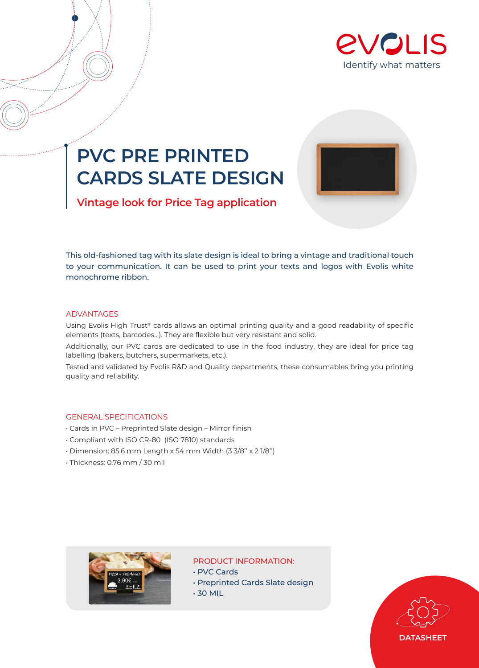

# **PVC PRE PRINTED CARDS SLATE DESIGN**



**Vintage look for Price Tag application**

This old-fashioned tag with its slate design is ideal to bring a vintage and traditional touch to your communication. It can be used to print your texts and logos with Evolis white monochrome ribbon.

## ADVANTAGES

Using Evolis High Trust® cards allows an optimal printing quality and a good readability of specific elements (texts, barcodes…). They are flexible but very resistant and solid.

Additionally, our PVC cards are dedicated to use in the food industry, they are ideal for price tag labelling (bakers, butchers, supermarkets, etc.).

Tested and validated by Evolis R&D and Quality departments, these consumables bring you printing quality and reliability.

### GENERAL SPECIFICATIONS

- Cards in PVC Preprinted Slate design Mirror finish
- Compliant with ISO CR-80 (ISO 7810) standards
- Dimension: 85.6 mm Length x 54 mm Width (3 3/8'' x 2 1/8'')
- Thickness: 0.76 mm / 30 mil



### PRODUCT INFORMATION:

- PVC Cards
- Preprinted Cards Slate design
- 30 MIL